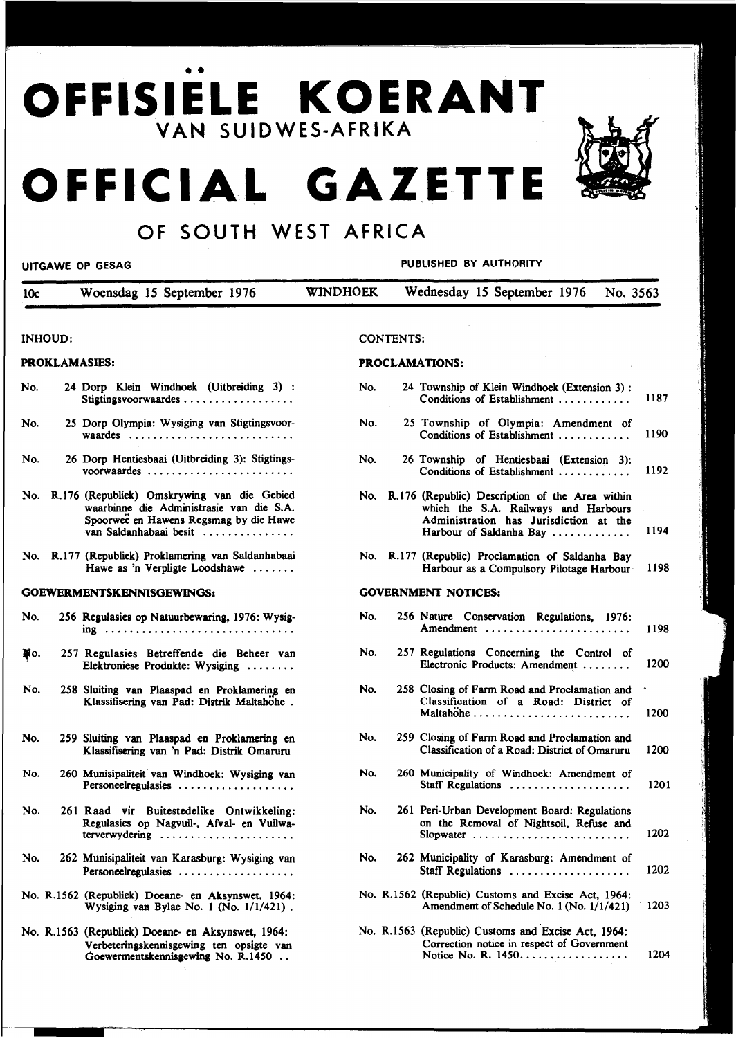# •• **OFFISIELE KOERANT VAN SUIDWES-AFRIKA**

# **OFFICIAL GAZETTE**

# **OF SOUTH WEST AFRICA**

### UITGAWE OP GESAG

PUBLISHED BY AUTHORITY

| 10c | Woensdag 15 September 1976 | <b>WINDHOEK</b> | Wednesday 15 September 1976 No. 3563 |  |
|-----|----------------------------|-----------------|--------------------------------------|--|
|     |                            |                 |                                      |  |
|     |                            |                 |                                      |  |

### INHOUD:

### PROKLAMASIES:

| No. |  |  | 24 Dorp Klein Windhoek (Uitbreiding 3) : |  |
|-----|--|--|------------------------------------------|--|
|     |  |  |                                          |  |

- No. 25 Dorp Olympia: Wysiging van Stigtingsvoorwaardes ............................
- No. 26 Dorp Hentiesbaai (Uitbreiding 3): Stigtingsvoorwaardes  $\dots\dots\dots\dots\dots$
- No. R.l76 (Republiek) Omskrywing van die Gebied waarbinne die Administrasie van die S.A. Spoorwee en Hawens Regsmag by die Hawe van Saldanhabaai besit ..............
- No. R.177 (Republiek) Proklamering van Saldanhabaai Hawe as 'n Verpligte Loodshawe ...... .

### GOEWERMENTSKENNISGEWINGS:

- No. 256 Regulasies op Natuurbcwaring, 1976: Wysiging .............................. .
- No. 257 Regulasies Betreffende die Beheer van Elektroniese Produkte: Wysiging .....•..
- No. 258 Sluiting van Plaaspad en Proklamering en Klassifisering van Pad: Distrik Maltahohe .
- No. 259 Sluiting van Plaaspad en Proklamering en Klassifisering van 'n Pad: Distrik Omaruru
- No. 260 Munisipaliteit van Windhoek: Wysiging van Personeelregulasies .................. .
- No. 261 Raad vir Buitestedelike Ontwikkeling: Regulasies op Nagvuil-, Afval- en Vuilwaterverwydering ......................
- No. 262 Munisipaliteit van Karasburg: Wysiging van Personeelregulasies ..................
- No. R.1562 (Republiek) Doeane- en Aksynswet, 1964: Wysiging van Bylae No. 1 (No. 1/1/421) .
- No. R.1563 (Republiek) Doeane- en Aksynswet, 1964: Verbeteringskennisgewing ten opsigte van Goewermentskennisgewing No. R.l450 ..

### CONTENTS:

### PROCLAMATIONS:

| No. | 24 Township of Klein Windhoek (Extension 3):<br>Conditions of Establishment                                                                                      | 1187 |
|-----|------------------------------------------------------------------------------------------------------------------------------------------------------------------|------|
| No. | 25 Township of Olympia: Amendment of<br>Conditions of Establishment                                                                                              | 1190 |
| No. | 26 Township of Hentiesbaai (Extension 3):<br>Conditions of Establishment                                                                                         | 1192 |
|     | No. R.176 (Republic) Description of the Area within<br>which the S.A. Railways and Harbours<br>Administration has Jurisdiction at the<br>Harbour of Saldanha Bay | 1194 |
|     | No. R.177 (Republic) Proclamation of Saldanha Bay<br>Harbour as a Compulsory Pilotage Harbour                                                                    | 1198 |
|     | <b>GOVERNMENT NOTICES:</b>                                                                                                                                       |      |
| No. | 256 Nature Conservation Regulations, 1976:<br>Amendment                                                                                                          | 1198 |
| No. | 257 Regulations Concerning the Control of<br>Electronic Products: Amendment                                                                                      | 1200 |
| No. | 258 Closing of Farm Road and Proclamation and<br>Classification of a Road: District of<br>Maltahöhe                                                              | 1200 |
| No. | 259 Closing of Farm Road and Proclamation and<br>Classification of a Road: District of Omaruru                                                                   | 1200 |
| No. | 260 Municipality of Windhoek: Amendment of<br>Staff Regulations                                                                                                  | 1201 |
| No. | 261 Peri-Urban Development Board: Regulations<br>on the Removal of Nightsoil, Refuse and<br>Slopwater                                                            | 1202 |
| No. | 262 Municipality of Karasburg: Amendment of<br>Staff Regulations                                                                                                 | 1202 |
|     | No. R.1562 (Republic) Customs and Excise Act, 1964:<br>Amendment of Schedule No. 1 (No. 1/1/421)                                                                 | 1203 |
|     | No. R.1563 (Republic) Customs and Excise Act, 1964:<br>Correction notice in respect of Government                                                                |      |

Notice No. R. 1450. . . . . . . . . . . . . . . . . 1204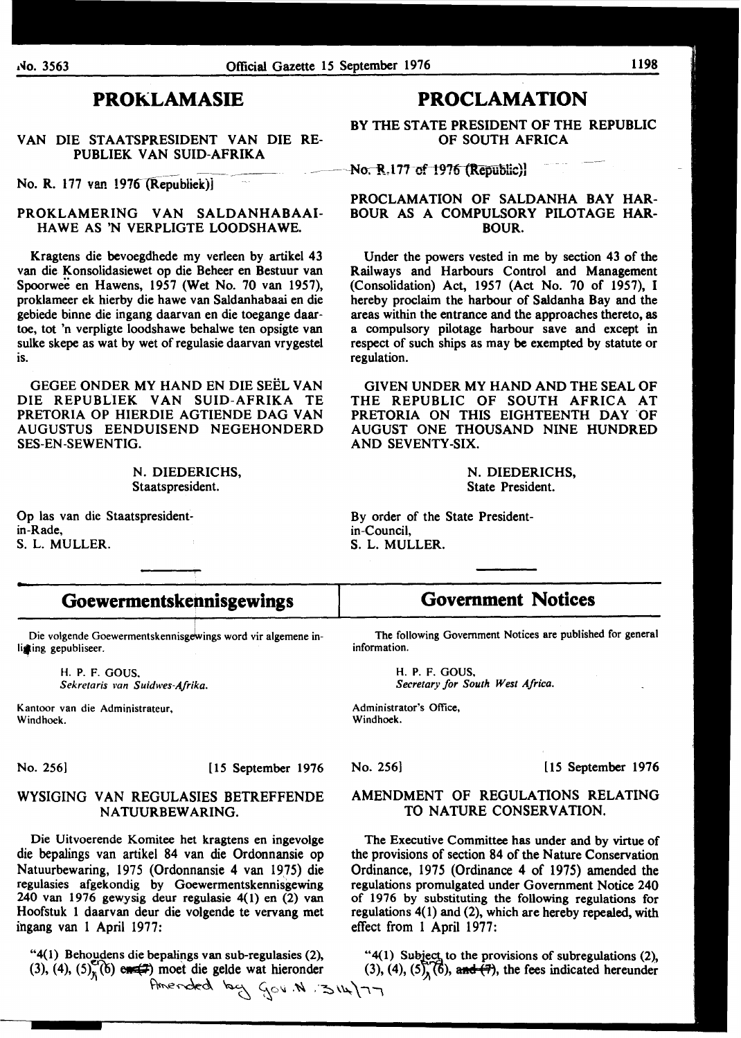### **PROKLAMASIE**

### VAN DIE STAATSPRESIDENT VAN DIE RE-PUBLIEK VAN SUID-AFRIKA

# No. R. 177 van ! 976\lfepubliek)l ---- ---------No;-R.l77 of ! 976 (Republic)}

### PROKLAMERING VAN SALDANHABAAI-HA WE AS 'N VERPLIGTE LOODSHAWE.

Kragtens die bevoegdhede my verleen by artikel 43 van die Konsolidasiewet op die Beheer en Bestuur van Spoorwee en Hawens, 1957 (Wet No. 70 van 1957), proklameer ek hierby die hawe van Saldanhabaai en die gebiede binne die ingang daarvan en die toegange daartoe, tot 'n verpligte loodshawe behalwe ten opsigte van sulke skepe as wat by wet of regulasie daarvan vrygeste1 is.

GEGEE ONDER MY HAND EN DIE SEEL VAN DIE REPUBLIEK VAN SUID-AFRIKA TE PRETORIA OP HIERDIE AGTIENDE DAG VAN AUGUSTUS EENDUISEND NEGEHONDERD SES-EN -SEWENTIG.

> N. DIEDERICHS, Staatspresident.

Op las van die Staatspresidentin-Rade, S. L. MULLER.

# **PROCLAMATION**

### BY THE STATE PRESIDENT OF THE REPUBLIC OF SOUTH AFRICA

### PROCLAMATION OF SALDANHA BAY HAR-BOUR AS A COMPULSORY PILOTAGE HAR-BOUR.

Under the powers vested in me by section 43 of the Railways and Harbours Control and Management (Consolidation) Act, 1957 (Act No. 70 of 1957), I hereby proclaim the harbour of Saldanha Bay and the areas within the entrance and the approaches thereto, as a compulsory pilotage harbour save and except in respect of such ships as may be exempted by statute or regulation.

GIVEN UNDER MY HAND AND THE SEAL OF THE REPUBLIC OF SOUTH AFRICA AT PRETORIA ON THIS EIGHTEENTH DAY OF AUGUST ONE THOUSAND NINE HUNDRED AND SEVENTY -SIX.

> N. DIEDERICHS, State President.

By order of the State Presidentin-Council, S. L. MULLER.

# **Goewermentskennisgewings**

Die volgende Goewermentskennisgewings word vir algemene inligting gepubliseer.

> H. P. F. GOUS. Sekretaris van Suidwes-Afrika.

Kantoor van die Administrateur, Windhoek.

No. 256) [15 September 1976

### WYSIGING VAN REGULASIES BETREFFENDE NATUURBEW ARING.

Die Uitvoerende Komitee bet kragtens en ingevolge die bepalings van artikel 84 van die Ordonnansie op Natuurbewaring, 1975 (Ordonnansie 4 van 1975) die regulasies afgekondig by Goewermentskennisgewing 240 van 1976 gewysig deur regulasie 4(1) en (2) van Hoofstuk 1 daarvan deur die volgende te vervang met ingang van 1 April 1977:

"4(1) Behoudens die bepalings van sub-regulasies (2), "4(1) Subject to the provisions of subregulations (2), (3), (4), (5), (4), (5), (4), (5), (6), and (7), the fees indicated hereunder (3), (4), (5) $\frac{1}{\lambda}$ (6) ex $\neq$ ) moet die gelde wat hieronder Amended by  $\cos N$  .  $\sin 177$ 

### **Government Notices**

The following Government Notices are published for general information.

> H. P. F. GOUS, *Secretary for South West Africa.*

Administrator's Office, Windhoek.

No. 256] [15 September 1976

### AMENDMENT OF REGULATIONS RELATING TO NATURE CONSERVATION.

The Executive Committee has under and by virtue of the provisions of section 84 of the Nature Conservation Ordinance, 1975 (Ordinance 4 of 1975) amended the regulations promulgated under Government Notice 240 of 1976 by substituting the following regulations for regulations  $4(1)$  and  $(2)$ , which are hereby repealed, with effect from 1 April 1977: